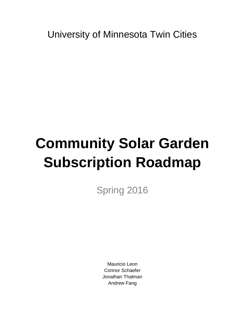University of Minnesota Twin Cities

# **Community Solar Garden Subscription Roadmap**

Spring 2016

Mauricio Leon Connor Schaefer Jonathan Thalman Andrew Fang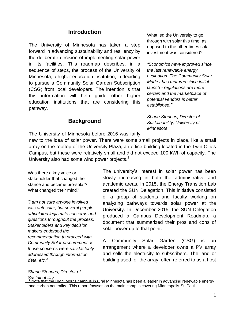#### **Introduction**

The University of Minnesota has taken a step forward in advancing sustainability and resiliency by the deliberate decision of implementing solar power in its facilities. This roadmap describes, in a sequence of steps, the process of the University of Minnesota, a higher education institution, in deciding to pursue a Community Solar Garden Subscription (CSG) from local developers. The intention is that this information will help guide other higher education institutions that are considering this pathway.

#### **Background**

The University of Minnesota before 2016 was fairly

What led the University to go through with solar this time, as opposed to the other times solar investment was considered?

*"Economics have improved since the last renewable energy evaluation. The Community Solar Market has matured since initial launch - regulations are more certain and the marketplace of potential vendors is better established."* 

*Shane Stennes, Director of Sustainability, University of Minnesota*

new to the idea of solar power. There were some small projects in place, like a small array on the rooftop of the University Plaza, an office building located in the Twin Cities Campus, but these were relatively small and did not exceed 100 kWh of capacity. The University also had some wind power projects. $1$ 

Was there a key voice or stakeholder that changed their stance and became pro-solar? What changed their mind?

*"I am not sure anyone involved was anti-solar, but several people articulated legitimate concerns and questions throughout the process. Stakeholders and key decision makers endorsed the recommendation to proceed with Community Solar procurement as those concerns were satisfactorily addressed through information, data, etc."*

*Shane Stennes, Director of Sustainability*

The university's interest in solar power has been slowly increasing in both the administrative and academic areas. In 2015, the Energy Transition Lab created the SUN Delegation. This initiative consisted of a group of students and faculty working on analyzing pathways towards solar power at the University. In December 2015, the SUN Delegation produced a Campus Development Roadmap, a document that summarized their pros and cons of solar power up to that point.

A Community Solar Garden (CSG) is an arrangement where a developer owns a PV array and sells the electricity to subscribers. The land or building used for the array, often referred to as a host

Note that the UMN Morris campus in rural Minnesota has been a leader in advancing renewable energy and carbon neutrality. This report focuses on the main campus covering Minneapolis-St. Paul.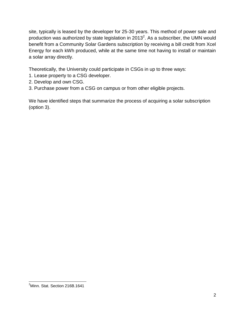site, typically is leased by the developer for 25-30 years. This method of power sale and production was authorized by state legislation in 2013<sup>2</sup>. As a subscriber, the UMN would benefit from a Community Solar Gardens subscription by receiving a bill credit from Xcel Energy for each kWh produced, while at the same time not having to install or maintain a solar array directly.

Theoretically, the University could participate in CSGs in up to three ways:

- 1. Lease property to a CSG developer.
- 2. Develop and own CSG.
- 3. Purchase power from a CSG on campus or from other eligible projects.

We have identified steps that summarize the process of acquiring a solar subscription (option 3).

 <sup>2</sup>Minn. Stat. Section 216B.1641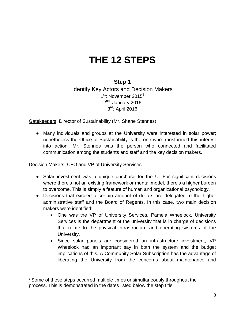# **THE 12 STEPS**

#### **Step 1**

Identify Key Actors and Decision Makers 1<sup>st</sup>: November 2015<sup>3</sup> 2<sup>nd</sup>: January 2016 3<sup>rd</sup>: April 2016

Gatekeepers: Director of Sustainability (Mr. Shane Stennes)

● Many individuals and groups at the University were interested in solar power; nonetheless the Office of Sustainability is the one who transformed this interest into action. Mr. Stennes was the person who connected and facilitated communication among the students and staff and the key decision makers.

Decision Makers: CFO and VP of University Services

- Solar investment was a unique purchase for the U. For significant decisions where there's not an existing framework or mental model, there's a higher burden to overcome. This is simply a feature of human and organizational psychology.
- Decisions that exceed a certain amount of dollars are delegated to the higher administrative staff and the Board of Regents. In this case, two main decision makers were identified:
	- One was the VP of University Services, Pamela Wheelock. University Services is the department of the university that is in charge of decisions that relate to the physical infrastructure and operating systems of the University.
	- Since solar panels are considered an infrastructure investment, VP Wheelock had an important say in both the system and the budget implications of this. A Community Solar Subscription has the advantage of liberating the University from the concerns about maintenance and

<sup>&</sup>lt;sup>3</sup> Some of these steps occurred multiple times or simultaneously throughout the process. This is demonstrated in the dates listed below the step title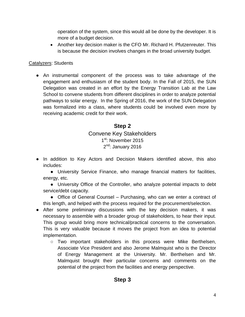operation of the system, since this would all be done by the developer. It is more of a budget decision.

• Another key decision maker is the CFO Mr. Richard H. Pfutzenreuter. This is because the decision involves changes in the broad university budget.

#### Catalyzers: Students

• An instrumental component of the process was to take advantage of the engagement and enthusiasm of the student body. In the Fall of 2015, the SUN Delegation was created in an effort by the Energy Transition Lab at the Law School to convene students from different disciplines in order to analyze potential pathways to solar energy. In the Spring of 2016, the work of the SUN Delegation was formalized into a class, where students could be involved even more by receiving academic credit for their work.

#### **Step 2**

#### Convene Key Stakeholders 1<sup>st</sup>: November 2015 2<sup>nd</sup>: January 2016

• In addition to Key Actors and Decision Makers identified above, this also includes:

● University Service Finance, who manage financial matters for facilities, energy, etc.

● University Office of the Controller, who analyze potential impacts to debt service/debt capacity.

• Office of General Counsel – Purchasing, who can we enter a contract of this length, and helped with the process required for the procurement/selection.

- After some preliminary discussions with the key decision makers, it was necessary to assemble with a broader group of stakeholders, to hear their input. This group would bring more technical/practical concerns to the conversation. This is very valuable because it moves the project from an idea to potential implementation.
	- Two important stakeholders in this process were Mike Berthelsen, Associate Vice President and also Jerome Malmquist who is the Director of Energy Management at the University. Mr. Berthelsen and Mr. Malmquist brought their particular concerns and comments on the potential of the project from the facilities and energy perspective.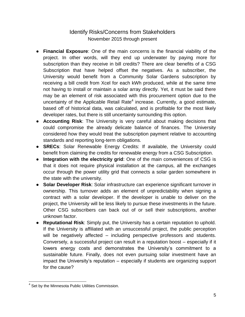#### Identify Risks/Concerns from Stakeholders November 2015 through present

- **Financial Exposure**: One of the main concerns is the financial viability of the project. In other words, will they end up underwater by paying more for subscription than they receive in bill credits? There are clear benefits of a CSG Subscription that have helped offset the negatives. As a subscriber, the University would benefit from a Community Solar Gardens subscription by receiving a bill credit from Xcel for each kWh produced, while at the same time not having to install or maintain a solar array directly. Yet, it must be said there may be an element of risk associated with this procurement option due to the uncertainty of the Applicable Retail Rate<sup>4</sup> increase. Currently, a good estimate, based off of historical data, was calculated, and is profitable for the most likely developer rates, but there is still uncertainty surrounding this option.
- **Accounting Risk**: The University is very careful about making decisions that could compromise the already delicate balance of finances. The University considered how they would treat the subscription payment relative to accounting standards and reporting long-term obligations.
- **SRECs**: Solar Renewable Energy Credits: If available, the University could benefit from claiming the credits for renewable energy from a CSG Subscription.
- **Integration with the electricity grid**: One of the main conveniences of CSG is that it does not require physical installation at the campus, all the exchanges occur through the power utility grid that connects a solar garden somewhere in the state with the university.
- **Solar Developer Risk**: Solar infrastructure can experience significant turnover in ownership. This turnover adds an element of unpredictability when signing a contract with a solar developer. If the developer is unable to deliver on the project, the University will be less likely to pursue these investments in the future. Other CSG subscribers can back out of or sell their subscriptions, another unknown factor.
- **Reputational Risk**: Simply put, the University has a certain reputation to uphold. If the University is affiliated with an unsuccessful project, the public perception will be negatively affected – including perspective professors and students. Conversely, a successful project can result in a reputation boost – especially if it lowers energy costs and demonstrates the University's commitment to a sustainable future. Finally, does not even pursuing solar investment have an impact the University's reputation – especially if students are organizing support for the cause?

 <sup>4</sup> Set by the Minnesota Public Utilities Commission.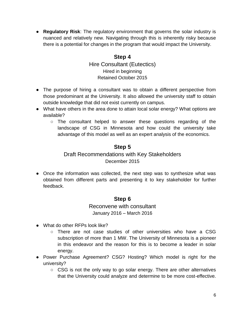● **Regulatory Risk**: The regulatory environment that governs the solar industry is nuanced and relatively new. Navigating through this is inherently risky because there is a potential for changes in the program that would impact the University.

#### **Step 4**

Hire Consultant (Eutectics) Hired in beginning Retained October 2015

- The purpose of hiring a consultant was to obtain a different perspective from those predominant at the University. It also allowed the university staff to obtain outside knowledge that did not exist currently on campus.
- What have others in the area done to attain local solar energy? What options are available?
	- The consultant helped to answer these questions regarding of the landscape of CSG in Minnesota and how could the university take advantage of this model as well as an expert analysis of the economics.

#### **Step 5**

#### Draft Recommendations with Key Stakeholders December 2015

• Once the information was collected, the next step was to synthesize what was obtained from different parts and presenting it to key stakeholder for further feedback.

#### **Step 6**

#### Reconvene with consultant January 2016 – March 2016

- What do other RFPs look like?
	- There are not case studies of other universities who have a CSG subscription of more than 1 MW. The University of Minnesota is a pioneer in this endeavor and the reason for this is to become a leader in solar energy.
- Power Purchase Agreement? CSG? Hosting? Which model is right for the university?
	- CSG is not the only way to go solar energy. There are other alternatives that the University could analyze and determine to be more cost-effective.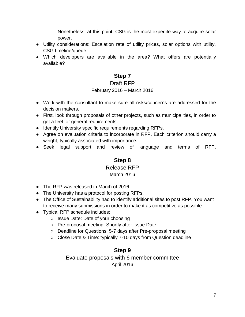Nonetheless, at this point, CSG is the most expedite way to acquire solar power.

- Utility considerations: Escalation rate of utility prices, solar options with utility, CSG timeline/queue
- Which developers are available in the area? What offers are potentially available?

#### **Step 7** Draft RFP

## February 2016 – March 2016

- 
- Work with the consultant to make sure all risks/concerns are addressed for the decision makers.
- First, look through proposals of other projects, such as municipalities, in order to get a feel for general requirements.
- Identify University specific requirements regarding RFPs.
- Agree on evaluation criteria to incorporate in RFP. Each criterion should carry a weight, typically associated with importance.
- Seek legal support and review of language and terms of RFP.

### **Step 8** Release RFP

#### March 2016

- The RFP was released in March of 2016.
- The University has a protocol for posting RFPs.
- The Office of Sustainability had to identify additional sites to post RFP. You want to receive many submissions in order to make it as competitive as possible.
- Typical RFP schedule includes:
	- Issue Date: Date of your choosing
	- Pre-proposal meeting: Shortly after Issue Date
	- Deadline for Questions: 5-7 days after Pre-proposal meeting
	- Close Date & Time: typically 7-10 days from Question deadline

#### **Step 9**

#### Evaluate proposals with 6 member committee April 2016